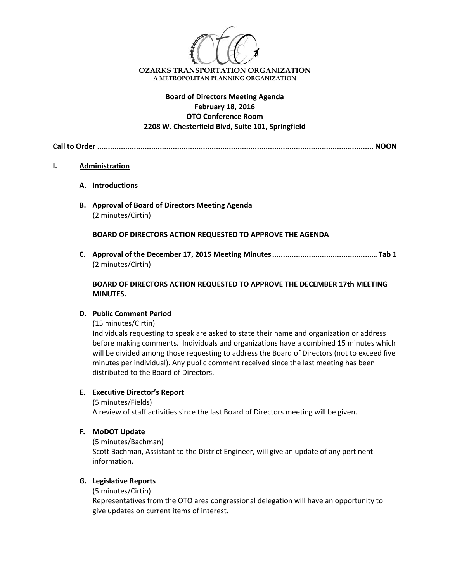

# **Board of Directors Meeting Agenda February 18, 2016 OTO Conference Room 2208 W. Chesterfield Blvd, Suite 101, Springfield**

**Call to Order ................................................................................................................................ NOON**

### **I. Administration**

- **A. Introductions**
- **B. Approval of Board of Directors Meeting Agenda** (2 minutes/Cirtin)

**BOARD OF DIRECTORS ACTION REQUESTED TO APPROVE THE AGENDA**

**C. Approval of the December 17, 2015 Meeting Minutes.................................................Tab 1** (2 minutes/Cirtin)

# **BOARD OF DIRECTORS ACTION REQUESTED TO APPROVE THE DECEMBER 17th MEETING MINUTES.**

## **D. Public Comment Period**

(15 minutes/Cirtin)

Individuals requesting to speak are asked to state their name and organization or address before making comments. Individuals and organizations have a combined 15 minutes which will be divided among those requesting to address the Board of Directors (not to exceed five minutes per individual). Any public comment received since the last meeting has been distributed to the Board of Directors.

## **E. Executive Director's Report**

(5 minutes/Fields) A review of staff activities since the last Board of Directors meeting will be given.

## **F. MoDOT Update**

(5 minutes/Bachman) Scott Bachman, Assistant to the District Engineer, will give an update of any pertinent information.

## **G. Legislative Reports**

(5 minutes/Cirtin)

Representatives from the OTO area congressional delegation will have an opportunity to give updates on current items of interest.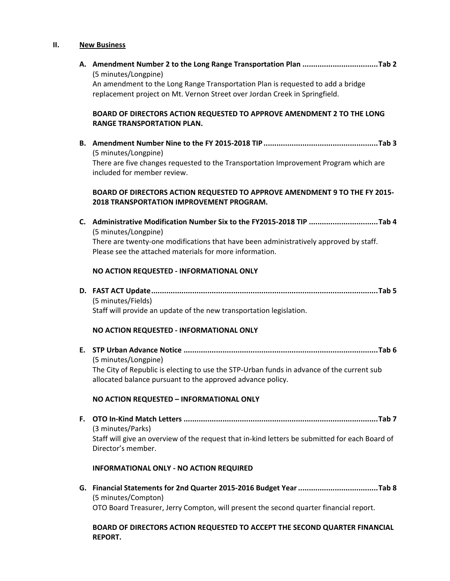#### **II. New Business**

**REPORT.**

**A. Amendment Number 2 to the Long Range Transportation Plan ...................................Tab 2** (5 minutes/Longpine) An amendment to the Long Range Transportation Plan is requested to add a bridge replacement project on Mt. Vernon Street over Jordan Creek in Springfield. **BOARD OF DIRECTORS ACTION REQUESTED TO APPROVE AMENDMENT 2 TO THE LONG RANGE TRANSPORTATION PLAN. B. Amendment Number Nine to the FY 2015‐2018 TIP.....................................................Tab 3** (5 minutes/Longpine) There are five changes requested to the Transportation Improvement Program which are included for member review. **BOARD OF DIRECTORS ACTION REQUESTED TO APPROVE AMENDMENT 9 TO THE FY 2015‐ 2018 TRANSPORTATION IMPROVEMENT PROGRAM. C. Administrative Modification Number Six to the FY2015‐2018 TIP ................................Tab 4**  (5 minutes/Longpine) There are twenty-one modifications that have been administratively approved by staff. Please see the attached materials for more information. **NO ACTION REQUESTED ‐ INFORMATIONAL ONLY D. FAST ACT Update.........................................................................................................Tab 5** (5 minutes/Fields) Staff will provide an update of the new transportation legislation. **NO ACTION REQUESTED ‐ INFORMATIONAL ONLY E. STP Urban Advance Notice ..........................................................................................Tab 6** (5 minutes/Longpine) The City of Republic is electing to use the STP‐Urban funds in advance of the current sub allocated balance pursuant to the approved advance policy. **NO ACTION REQUESTED – INFORMATIONAL ONLY F. OTO In‐Kind Match Letters ..........................................................................................Tab 7** (3 minutes/Parks) Staff will give an overview of the request that in‐kind letters be submitted for each Board of Director's member. **INFORMATIONAL ONLY ‐ NO ACTION REQUIRED G. Financial Statements for 2nd Quarter 2015‐2016 Budget Year.....................................Tab 8** (5 minutes/Compton) OTO Board Treasurer, Jerry Compton, will present the second quarter financial report. **BOARD OF DIRECTORS ACTION REQUESTED TO ACCEPT THE SECOND QUARTER FINANCIAL**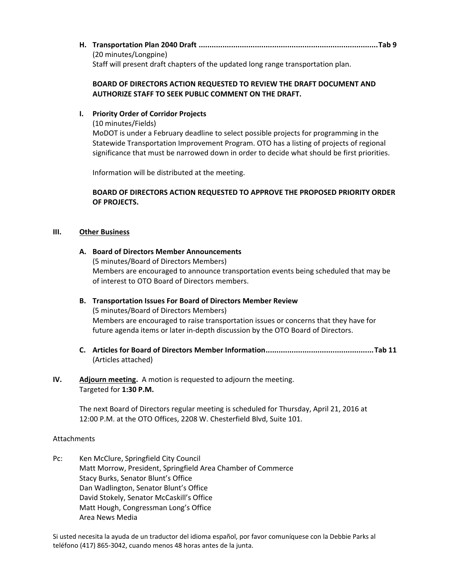|  | (20 minutes/Longpine)                                                            |  |
|--|----------------------------------------------------------------------------------|--|
|  | Staff will present draft chapters of the updated long range transportation plan. |  |

## **BOARD OF DIRECTORS ACTION REQUESTED TO REVIEW THE DRAFT DOCUMENT AND AUTHORIZE STAFF TO SEEK PUBLIC COMMENT ON THE DRAFT.**

# **I. Priority Order of Corridor Projects**

(10 minutes/Fields)

MoDOT is under a February deadline to select possible projects for programming in the Statewide Transportation Improvement Program. OTO has a listing of projects of regional significance that must be narrowed down in order to decide what should be first priorities.

Information will be distributed at the meeting.

# **BOARD OF DIRECTORS ACTION REQUESTED TO APPROVE THE PROPOSED PRIORITY ORDER OF PROJECTS.**

## **III. Other Business**

- **A. Board of Directors Member Announcements** (5 minutes/Board of Directors Members) Members are encouraged to announce transportation events being scheduled that may be of interest to OTO Board of Directors members.
- **B. Transportation Issues For Board of Directors Member Review**  (5 minutes/Board of Directors Members) Members are encouraged to raise transportation issues or concerns that they have for future agenda items or later in‐depth discussion by the OTO Board of Directors.
- **C. Articles for Board of Directors Member Information..................................................Tab 11** (Articles attached)

# **IV.** Adjourn meeting. A motion is requested to adjourn the meeting. Targeted for **1:30 P.M.**

The next Board of Directors regular meeting is scheduled for Thursday, April 21, 2016 at 12:00 P.M. at the OTO Offices, 2208 W. Chesterfield Blvd, Suite 101.

## Attachments

Pc: Ken McClure, Springfield City Council Matt Morrow, President, Springfield Area Chamber of Commerce Stacy Burks, Senator Blunt's Office Dan Wadlington, Senator Blunt's Office David Stokely, Senator McCaskill's Office Matt Hough, Congressman Long's Office Area News Media

Si usted necesita la ayuda de un traductor del idioma español, por favor comuníquese con la Debbie Parks al teléfono (417) 865‐3042, cuando menos 48 horas antes de la junta.